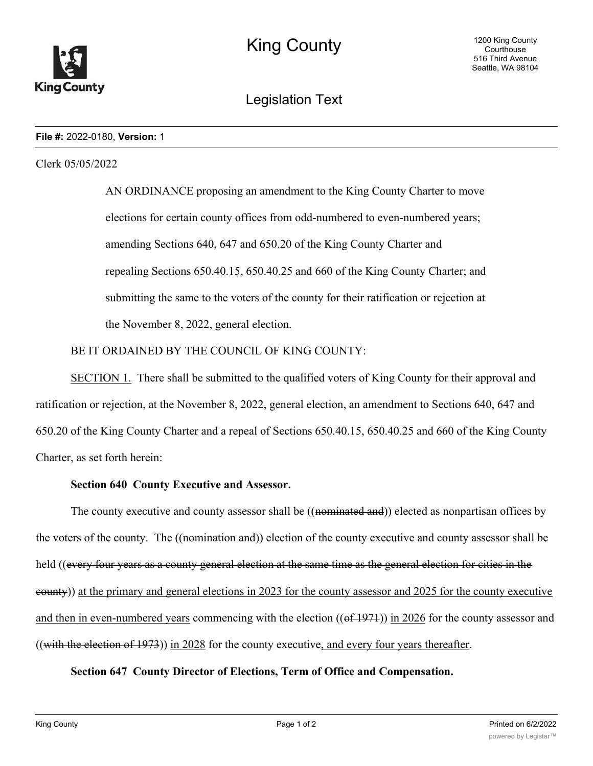

# Legislation Text

#### **File #:** 2022-0180, **Version:** 1

#### Clerk 05/05/2022

AN ORDINANCE proposing an amendment to the King County Charter to move elections for certain county offices from odd-numbered to even-numbered years; amending Sections 640, 647 and 650.20 of the King County Charter and repealing Sections 650.40.15, 650.40.25 and 660 of the King County Charter; and submitting the same to the voters of the county for their ratification or rejection at the November 8, 2022, general election.

## BE IT ORDAINED BY THE COUNCIL OF KING COUNTY:

SECTION 1. There shall be submitted to the qualified voters of King County for their approval and ratification or rejection, at the November 8, 2022, general election, an amendment to Sections 640, 647 and 650.20 of the King County Charter and a repeal of Sections 650.40.15, 650.40.25 and 660 of the King County Charter, as set forth herein:

#### **Section 640 County Executive and Assessor.**

The county executive and county assessor shall be ((nominated and)) elected as nonpartisan offices by the voters of the county. The ((nomination and)) election of the county executive and county assessor shall be held ((every four years as a county general election at the same time as the general election for cities in the county)) at the primary and general elections in 2023 for the county assessor and 2025 for the county executive and then in even-numbered years commencing with the election ((of 1971)) in 2026 for the county assessor and ((with the election of  $1973$ )) in 2028 for the county executive, and every four years thereafter.

#### **Section 647 County Director of Elections, Term of Office and Compensation.**